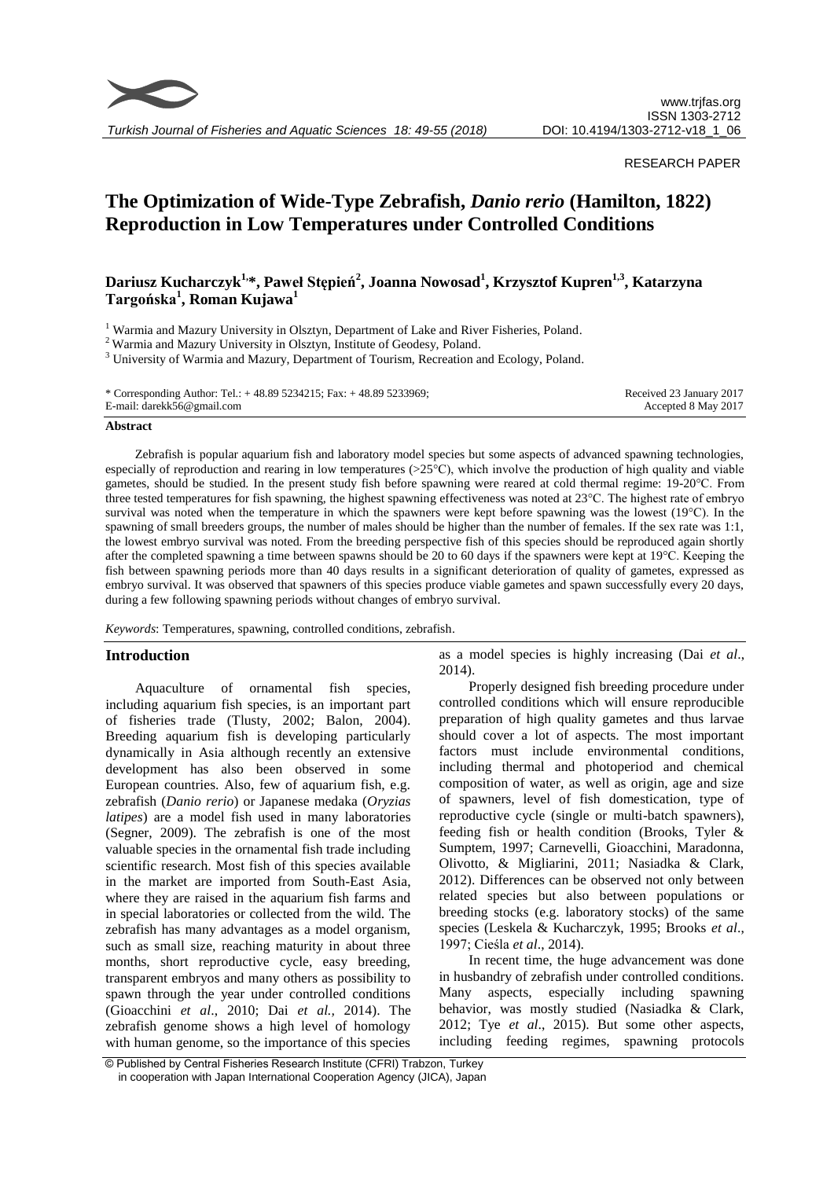

## RESEARCH PAPER

# **The Optimization of Wide-Type Zebrafish,** *Danio rerio* **(Hamilton, 1822) Reproduction in Low Temperatures under Controlled Conditions**

## **Dariusz Kucharczyk1,\*, Paweł Stępień<sup>2</sup> , Joanna Nowosad<sup>1</sup> , Krzysztof Kupren1,3, Katarzyna Targońska<sup>1</sup> , Roman Kujawa<sup>1</sup>**

<sup>1</sup> Warmia and Mazury University in Olsztyn, Department of Lake and River Fisheries, Poland.

<sup>2</sup> Warmia and Mazury University in Olsztyn, Institute of Geodesy, Poland.

<sup>3</sup> University of Warmia and Mazury, Department of Tourism, Recreation and Ecology, Poland.

| * Corresponding Author: Tel.: $+ 48.89 5234215$ ; Fax: $+ 48.89 5233969$ ; | Received 23 January 2017 |
|----------------------------------------------------------------------------|--------------------------|
| E-mail: darekk56@gmail.com                                                 | Accepted 8 May 2017      |

#### **Abstract**

Zebrafish is popular aquarium fish and laboratory model species but some aspects of advanced spawning technologies, especially of reproduction and rearing in low temperatures (>25°C), which involve the production of high quality and viable gametes, should be studied. In the present study fish before spawning were reared at cold thermal regime: 19-20°C. From three tested temperatures for fish spawning, the highest spawning effectiveness was noted at 23°C. The highest rate of embryo survival was noted when the temperature in which the spawners were kept before spawning was the lowest (19°C). In the spawning of small breeders groups, the number of males should be higher than the number of females. If the sex rate was 1:1, the lowest embryo survival was noted. From the breeding perspective fish of this species should be reproduced again shortly after the completed spawning a time between spawns should be 20 to 60 days if the spawners were kept at  $19^{\circ}$ C. Keeping the fish between spawning periods more than 40 days results in a significant deterioration of quality of gametes, expressed as embryo survival. It was observed that spawners of this species produce viable gametes and spawn successfully every 20 days, during a few following spawning periods without changes of embryo survival.

*Keywords*: Temperatures, spawning, controlled conditions, zebrafish.

## **Introduction**

Aquaculture of ornamental fish species, including aquarium fish species, is an important part of fisheries trade (Tlusty, 2002; Balon, 2004). Breeding aquarium fish is developing particularly dynamically in Asia although recently an extensive development has also been observed in some European countries. Also, few of aquarium fish, e.g. zebrafish (*Danio rerio*) or Japanese medaka (*Oryzias latipes*) are a model fish used in many laboratories (Segner, 2009). The zebrafish is one of the most valuable species in the ornamental fish trade including scientific research. Most fish of this species available in the market are imported from South-East Asia, where they are raised in the aquarium fish farms and in special laboratories or collected from the wild. The zebrafish has many advantages as a model organism, such as small size, reaching maturity in about three months, short reproductive cycle, easy breeding, transparent embryos and many others as possibility to spawn through the year under controlled conditions (Gioacchini *et al*., 2010; Dai *et al.,* 2014). The zebrafish genome shows a high level of homology with human genome, so the importance of this species as a model species is highly increasing (Dai *et al*., 2014).

Properly designed fish breeding procedure under controlled conditions which will ensure reproducible preparation of high quality gametes and thus larvae should cover a lot of aspects. The most important factors must include environmental conditions, including thermal and photoperiod and chemical composition of water, as well as origin, age and size of spawners, level of fish domestication, type of reproductive cycle (single or multi-batch spawners), feeding fish or health condition (Brooks, Tyler & Sumptem, 1997; Carnevelli, Gioacchini, Maradonna, Olivotto, & Migliarini, 2011; Nasiadka & Clark, 2012). Differences can be observed not only between related species but also between populations or breeding stocks (e.g. laboratory stocks) of the same species (Leskela & Kucharczyk, 1995; Brooks *et al*., 1997; Cieśla *et al*., 2014).

In recent time, the huge advancement was done in husbandry of zebrafish under controlled conditions. Many aspects, especially including spawning behavior, was mostly studied (Nasiadka & Clark, 2012; Tye *et al*., 2015). But some other aspects, including feeding regimes, spawning protocols

<sup>©</sup> Published by Central Fisheries Research Institute (CFRI) Trabzon, Turkey in cooperation with Japan International Cooperation Agency (JICA), Japan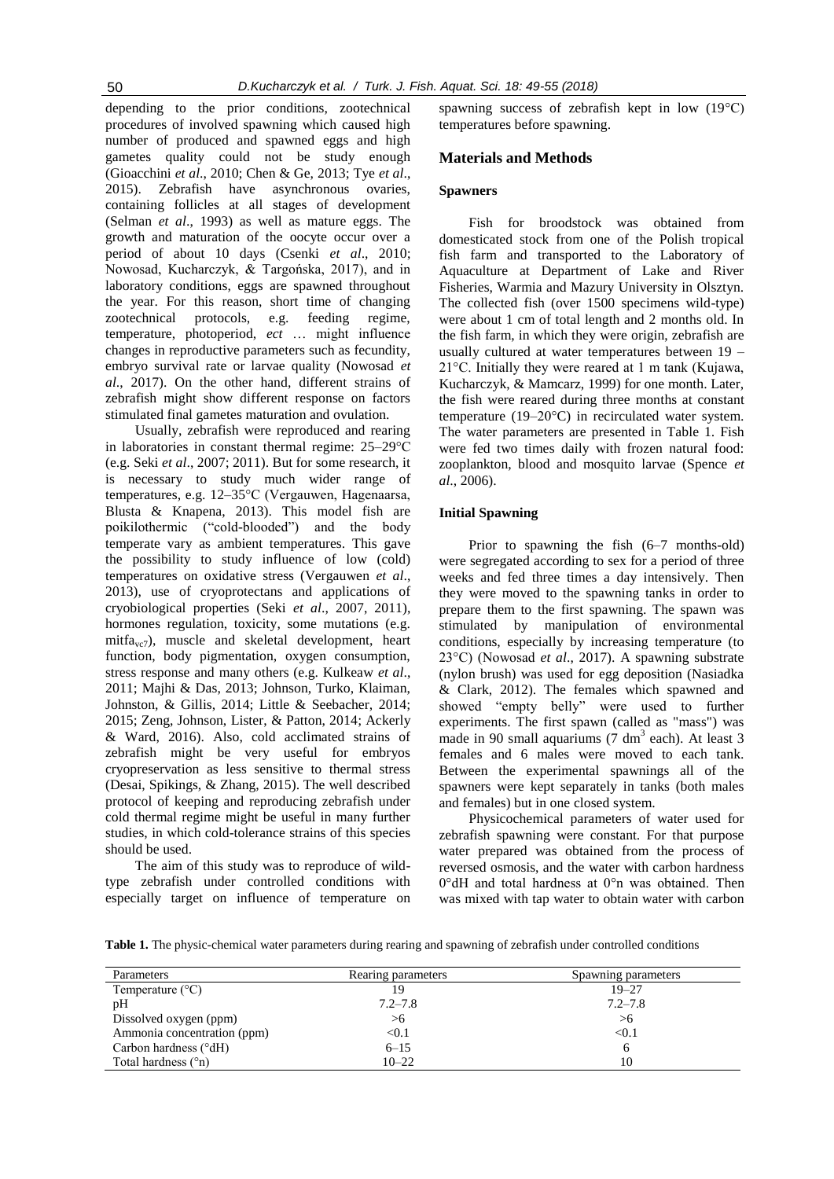depending to the prior conditions, zootechnical procedures of involved spawning which caused high number of produced and spawned eggs and high gametes quality could not be study enough (Gioacchini *et al*., 2010; Chen & Ge, 2013; Tye *et al*., 2015). Zebrafish have asynchronous ovaries, containing follicles at all stages of development (Selman *et al*., 1993) as well as mature eggs. The growth and maturation of the oocyte occur over a period of about 10 days (Csenki *et al*., 2010; Nowosad, Kucharczyk, & Targońska, 2017), and in laboratory conditions, eggs are spawned throughout the year. For this reason, short time of changing zootechnical protocols, e.g. feeding regime, temperature, photoperiod, *ect* … might influence changes in reproductive parameters such as fecundity, embryo survival rate or larvae quality (Nowosad *et al*., 2017). On the other hand, different strains of zebrafish might show different response on factors stimulated final gametes maturation and ovulation.

Usually, zebrafish were reproduced and rearing in laboratories in constant thermal regime: 25–29°C (e.g. Seki *et al*., 2007; 2011). But for some research, it is necessary to study much wider range of temperatures, e.g. 12–35°C (Vergauwen, Hagenaarsa, Blusta & Knapena, 2013). This model fish are poikilothermic ("cold-blooded") and the body temperate vary as ambient temperatures. This gave the possibility to study influence of low (cold) temperatures on oxidative stress (Vergauwen *et al*., 2013), use of cryoprotectans and applications of cryobiological properties (Seki *et al*., 2007, 2011), hormones regulation, toxicity, some mutations (e.g. mitfa<sub>vc7</sub>), muscle and skeletal development, heart function, body pigmentation, oxygen consumption, stress response and many others (e.g. Kulkeaw *et al*., 2011; Majhi & Das, 2013; Johnson, Turko, Klaiman, Johnston, & Gillis, 2014; Little & Seebacher, 2014; 2015; Zeng, Johnson, Lister, & Patton, 2014; Ackerly & Ward, 2016). Also, cold acclimated strains of zebrafish might be very useful for embryos cryopreservation as less sensitive to thermal stress (Desai, Spikings, & Zhang, 2015). The well described protocol of keeping and reproducing zebrafish under cold thermal regime might be useful in many further studies, in which cold-tolerance strains of this species should be used.

The aim of this study was to reproduce of wildtype zebrafish under controlled conditions with especially target on influence of temperature on spawning success of zebrafish kept in low (19°C) temperatures before spawning.

#### **Materials and Methods**

## **Spawners**

Fish for broodstock was obtained from domesticated stock from one of the Polish tropical fish farm and transported to the Laboratory of Aquaculture at Department of Lake and River Fisheries, Warmia and Mazury University in Olsztyn. The collected fish (over 1500 specimens wild-type) were about 1 cm of total length and 2 months old. In the fish farm, in which they were origin, zebrafish are usually cultured at water temperatures between 19 – 21°C. Initially they were reared at 1 m tank (Kujawa, Kucharczyk, & Mamcarz, 1999) for one month. Later, the fish were reared during three months at constant temperature (19–20°C) in recirculated water system. The water parameters are presented in Table 1. Fish were fed two times daily with frozen natural food: zooplankton, blood and mosquito larvae (Spence *et al*., 2006).

#### **Initial Spawning**

Prior to spawning the fish (6–7 months-old) were segregated according to sex for a period of three weeks and fed three times a day intensively. Then they were moved to the spawning tanks in order to prepare them to the first spawning. The spawn was stimulated by manipulation of environmental conditions, especially by increasing temperature (to 23°C) (Nowosad *et al*., 2017). A spawning substrate (nylon brush) was used for egg deposition (Nasiadka & Clark, 2012). The females which spawned and showed "empty belly" were used to further experiments. The first spawn (called as "mass") was made in 90 small aquariums  $(7 \text{ dm}^3 \text{ each})$ . At least 3 females and 6 males were moved to each tank. Between the experimental spawnings all of the spawners were kept separately in tanks (both males and females) but in one closed system.

Physicochemical parameters of water used for zebrafish spawning were constant. For that purpose water prepared was obtained from the process of reversed osmosis, and the water with carbon hardness 0°dH and total hardness at 0°n was obtained. Then was mixed with tap water to obtain water with carbon

**Table 1.** The physic-chemical water parameters during rearing and spawning of zebrafish under controlled conditions

| Parameters                   | Rearing parameters | Spawning parameters |
|------------------------------|--------------------|---------------------|
| Temperature $(^{\circ}C)$    | 19                 | $19 - 27$           |
| pH                           | $7.2 - 7.8$        | $7.2 - 7.8$         |
| Dissolved oxygen (ppm)       | >6                 | > 6                 |
| Ammonia concentration (ppm)  | < 0.1              | < 0.1               |
| Carbon hardness (°dH)        | $6 - 15$           |                     |
| Total hardness $(\degree n)$ | $10 - 22$          | 10                  |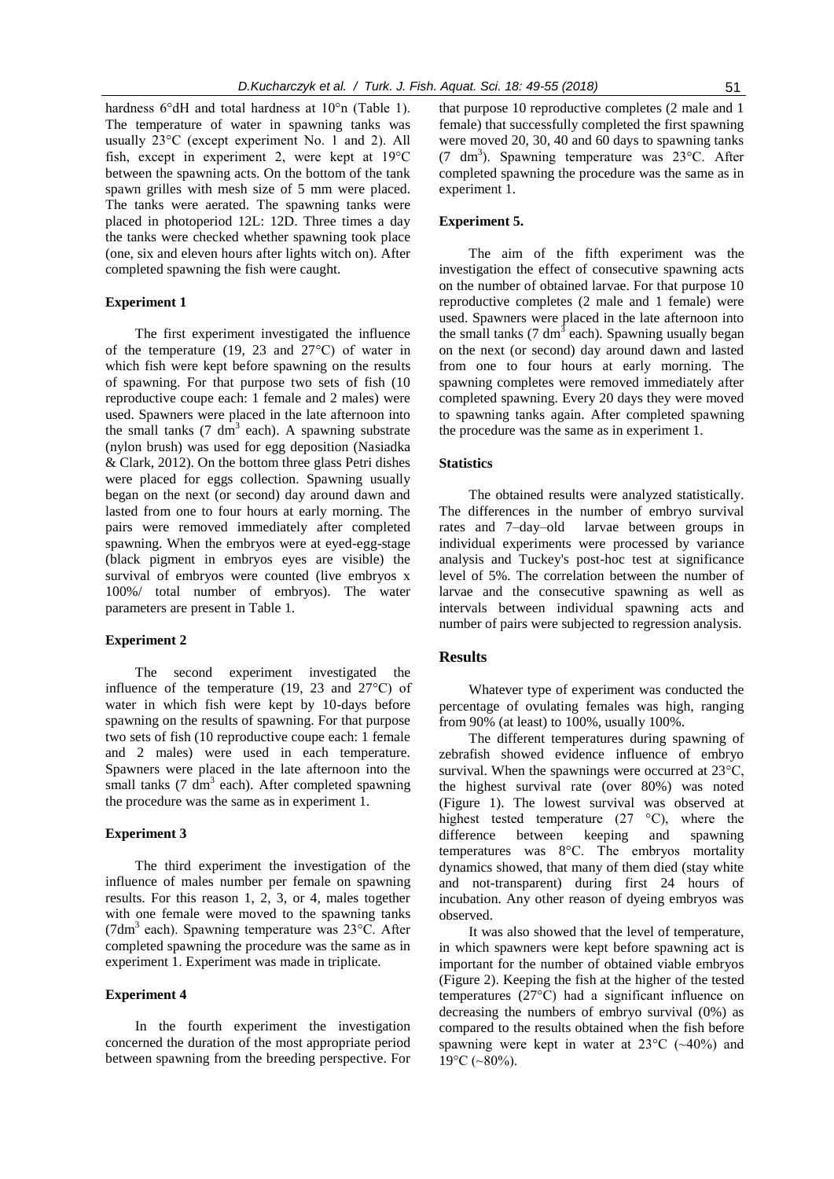hardness 6°dH and total hardness at 10°n (Table 1). The temperature of water in spawning tanks was usually 23°C (except experiment No. 1 and 2). All fish, except in experiment 2, were kept at 19°C between the spawning acts. On the bottom of the tank spawn grilles with mesh size of 5 mm were placed. The tanks were aerated. The spawning tanks were placed in photoperiod 12L: 12D. Three times a day the tanks were checked whether spawning took place (one, six and eleven hours after lights witch on). After completed spawning the fish were caught.

## **Experiment 1**

The first experiment investigated the influence of the temperature (19, 23 and 27°C) of water in which fish were kept before spawning on the results of spawning. For that purpose two sets of fish (10 reproductive coupe each: 1 female and 2 males) were used. Spawners were placed in the late afternoon into the small tanks  $(7 \text{ dm}^3 \text{ each})$ . A spawning substrate (nylon brush) was used for egg deposition (Nasiadka & Clark, 2012). On the bottom three glass Petri dishes were placed for eggs collection. Spawning usually began on the next (or second) day around dawn and lasted from one to four hours at early morning. The pairs were removed immediately after completed spawning. When the embryos were at eyed-egg-stage (black pigment in embryos eyes are visible) the survival of embryos were counted (live embryos x 100%/ total number of embryos). The water parameters are present in Table 1.

#### **Experiment 2**

The second experiment investigated the influence of the temperature (19, 23 and 27°C) of water in which fish were kept by 10-days before spawning on the results of spawning. For that purpose two sets of fish (10 reproductive coupe each: 1 female and 2 males) were used in each temperature. Spawners were placed in the late afternoon into the small tanks  $(7 \text{ dm}^3 \text{ each})$ . After completed spawning the procedure was the same as in experiment 1.

## **Experiment 3**

The third experiment the investigation of the influence of males number per female on spawning results. For this reason 1, 2, 3, or 4, males together with one female were moved to the spawning tanks (7dm<sup>3</sup> each). Spawning temperature was 23°C. After completed spawning the procedure was the same as in experiment 1. Experiment was made in triplicate.

#### **Experiment 4**

In the fourth experiment the investigation concerned the duration of the most appropriate period between spawning from the breeding perspective. For

that purpose 10 reproductive completes (2 male and 1 female) that successfully completed the first spawning were moved 20, 30, 40 and 60 days to spawning tanks (7 dm<sup>3</sup> ). Spawning temperature was 23°C. After completed spawning the procedure was the same as in experiment 1.

## **Experiment 5.**

The aim of the fifth experiment was the investigation the effect of consecutive spawning acts on the number of obtained larvae. For that purpose 10 reproductive completes (2 male and 1 female) were used. Spawners were placed in the late afternoon into the small tanks (7 dm<sup>3</sup> each). Spawning usually began on the next (or second) day around dawn and lasted from one to four hours at early morning. The spawning completes were removed immediately after completed spawning. Every 20 days they were moved to spawning tanks again. After completed spawning the procedure was the same as in experiment 1.

## **Statistics**

The obtained results were analyzed statistically. The differences in the number of embryo survival rates and 7–day–old larvae between groups in individual experiments were processed by variance analysis and Tuckey's post-hoc test at significance level of 5%. The correlation between the number of larvae and the consecutive spawning as well as intervals between individual spawning acts and number of pairs were subjected to regression analysis.

## **Results**

Whatever type of experiment was conducted the percentage of ovulating females was high, ranging from 90% (at least) to 100%, usually 100%.

The different temperatures during spawning of zebrafish showed evidence influence of embryo survival. When the spawnings were occurred at 23°C, the highest survival rate (over 80%) was noted (Figure 1). The lowest survival was observed at highest tested temperature (27 °C), where the difference between keeping and spawning temperatures was 8°C. The embryos mortality dynamics showed, that many of them died (stay white and not-transparent) during first 24 hours of incubation. Any other reason of dyeing embryos was observed.

It was also showed that the level of temperature, in which spawners were kept before spawning act is important for the number of obtained viable embryos (Figure 2). Keeping the fish at the higher of the tested temperatures (27°C) had a significant influence on decreasing the numbers of embryo survival (0%) as compared to the results obtained when the fish before spawning were kept in water at  $23^{\circ}$ C ( $\sim$ 40%) and  $19^{\circ}$ C (~80%).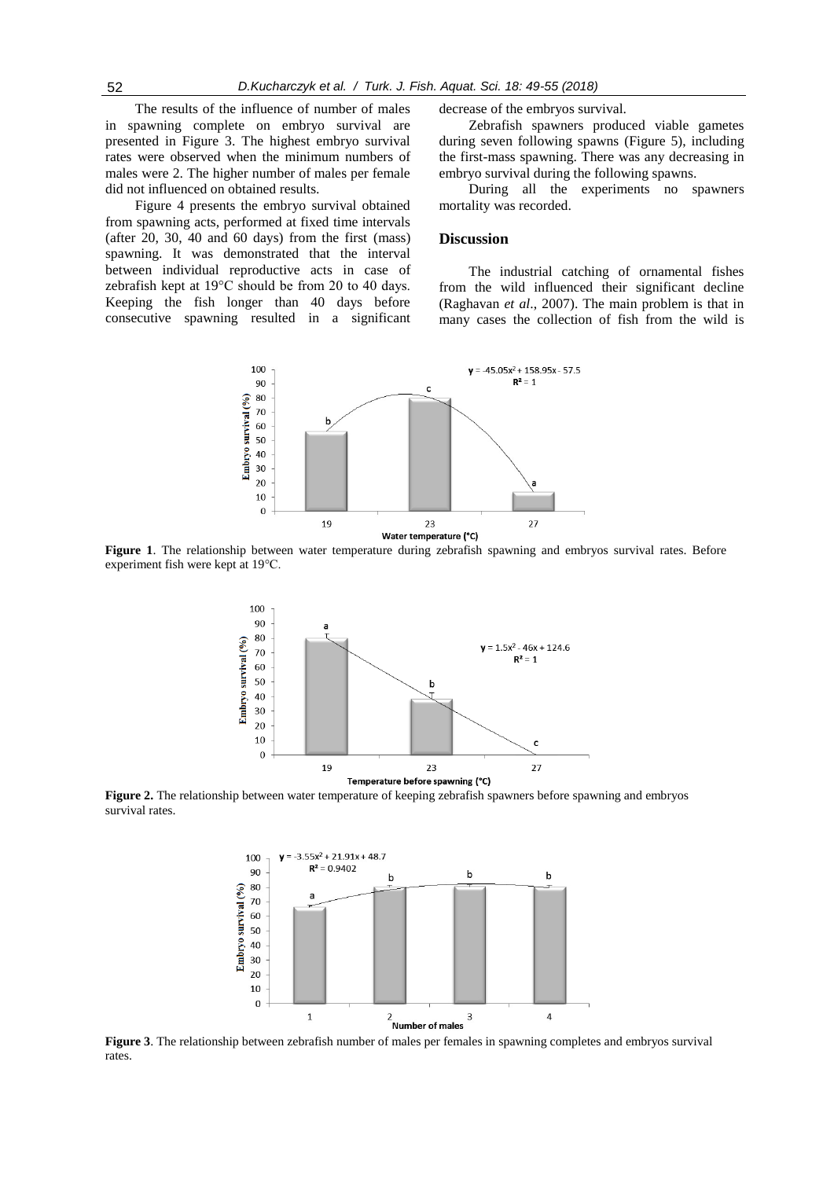The results of the influence of number of males in spawning complete on embryo survival are presented in Figure 3. The highest embryo survival rates were observed when the minimum numbers of males were 2. The higher number of males per female did not influenced on obtained results.

Figure 4 presents the embryo survival obtained from spawning acts, performed at fixed time intervals (after 20, 30, 40 and 60 days) from the first (mass) spawning. It was demonstrated that the interval between individual reproductive acts in case of zebrafish kept at 19°C should be from 20 to 40 days. Keeping the fish longer than 40 days before consecutive spawning resulted in a significant decrease of the embryos survival.

Zebrafish spawners produced viable gametes during seven following spawns (Figure 5), including the first-mass spawning. There was any decreasing in embryo survival during the following spawns.

During all the experiments no spawners mortality was recorded.

### **Discussion**

The industrial catching of ornamental fishes from the wild influenced their significant decline (Raghavan *et al*., 2007). The main problem is that in many cases the collection of fish from the wild is



**Figure 1**. The relationship between water temperature during zebrafish spawning and embryos survival rates. Before experiment fish were kept at 19°C.



**Figure 2.** The relationship between water temperature of keeping zebrafish spawners before spawning and embryos survival rates.



rates.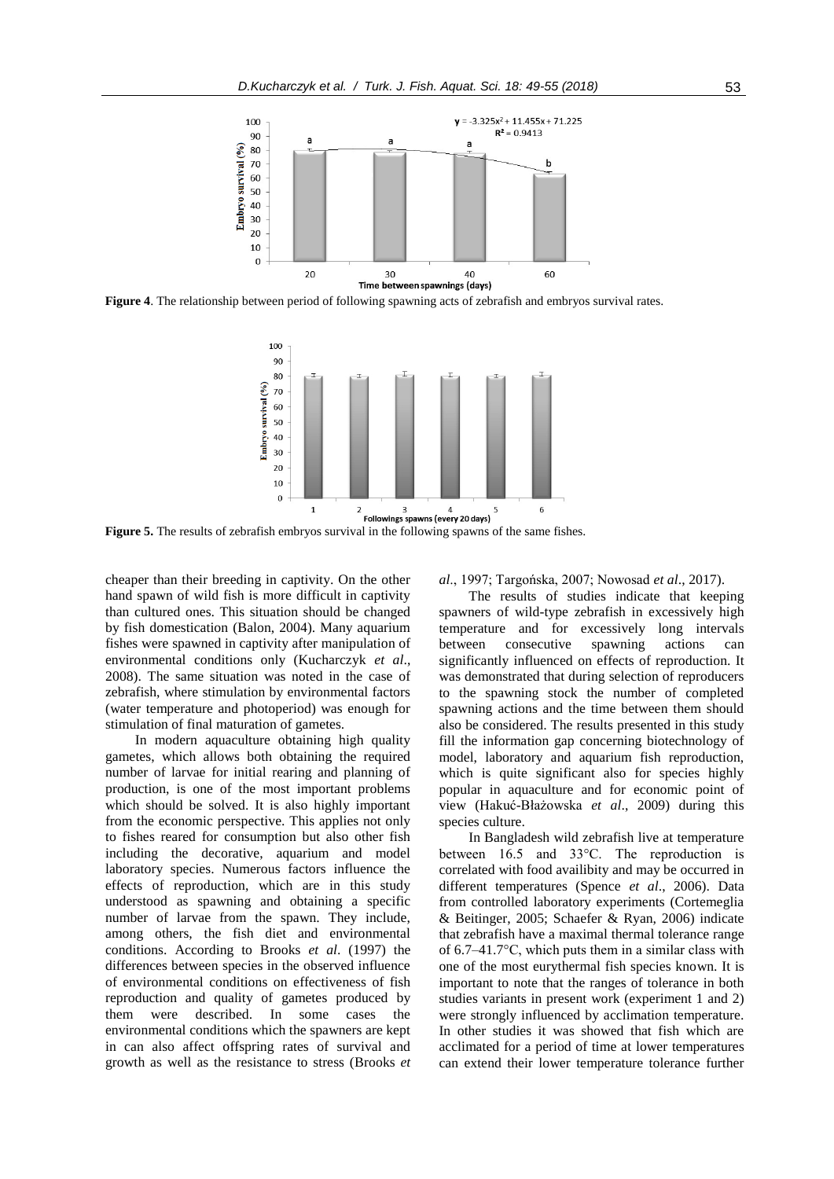

**Figure 4**. The relationship between period of following spawning acts of zebrafish and embryos survival rates.



**Figure 5.** The results of zebrafish embryos survival in the following spawns of the same fishes.

cheaper than their breeding in captivity. On the other hand spawn of wild fish is more difficult in captivity than cultured ones. This situation should be changed by fish domestication (Balon, 2004). Many aquarium fishes were spawned in captivity after manipulation of environmental conditions only (Kucharczyk *et al*., 2008). The same situation was noted in the case of zebrafish, where stimulation by environmental factors (water temperature and photoperiod) was enough for stimulation of final maturation of gametes.

In modern aquaculture obtaining high quality gametes, which allows both obtaining the required number of larvae for initial rearing and planning of production, is one of the most important problems which should be solved. It is also highly important from the economic perspective. This applies not only to fishes reared for consumption but also other fish including the decorative, aquarium and model laboratory species. Numerous factors influence the effects of reproduction, which are in this study understood as spawning and obtaining a specific number of larvae from the spawn. They include, among others, the fish diet and environmental conditions. According to Brooks *et al*. (1997) the differences between species in the observed influence of environmental conditions on effectiveness of fish reproduction and quality of gametes produced by them were described. In some cases the environmental conditions which the spawners are kept in can also affect offspring rates of survival and growth as well as the resistance to stress (Brooks *et*  *al*., 1997; Targońska, 2007; Nowosad *et al*., 2017).

The results of studies indicate that keeping spawners of wild-type zebrafish in excessively high temperature and for excessively long intervals between consecutive spawning actions can significantly influenced on effects of reproduction. It was demonstrated that during selection of reproducers to the spawning stock the number of completed spawning actions and the time between them should also be considered. The results presented in this study fill the information gap concerning biotechnology of model, laboratory and aquarium fish reproduction, which is quite significant also for species highly popular in aquaculture and for economic point of view (Hakuć-Błażowska *et al*., 2009) during this species culture.

In Bangladesh wild zebrafish live at temperature between 16.5 and 33°C. The reproduction is correlated with food availibity and may be occurred in different temperatures (Spence *et al*., 2006). Data from controlled laboratory experiments (Cortemeglia & Beitinger, 2005; Schaefer & Ryan, 2006) indicate that zebrafish have a maximal thermal tolerance range of 6.7–41.7°C, which puts them in a similar class with one of the most eurythermal fish species known. It is important to note that the ranges of tolerance in both studies variants in present work (experiment 1 and 2) were strongly influenced by acclimation temperature. In other studies it was showed that fish which are acclimated for a period of time at lower temperatures can extend their lower temperature tolerance further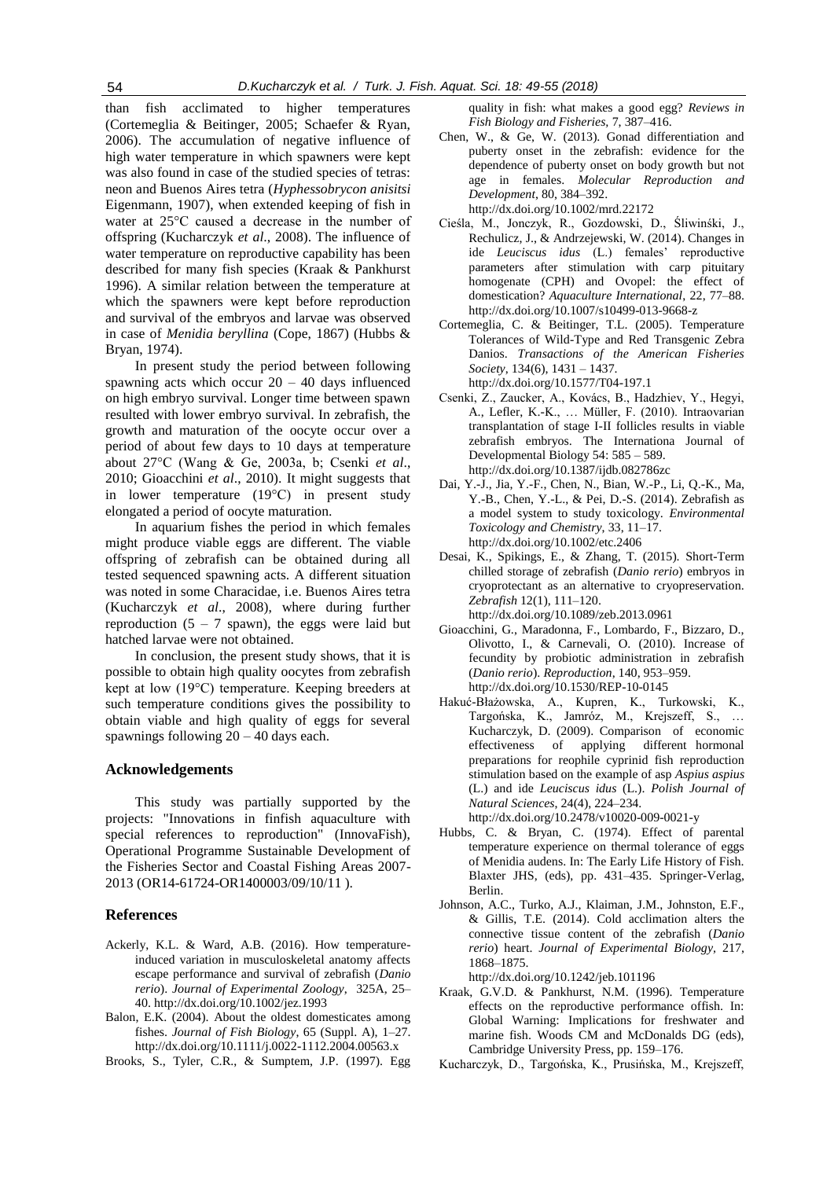than fish acclimated to higher temperatures (Cortemeglia & Beitinger, 2005; Schaefer & Ryan, 2006). The accumulation of negative influence of high water temperature in which spawners were kept was also found in case of the studied species of tetras: neon and Buenos Aires tetra (*Hyphessobrycon anisitsi* Eigenmann, 1907), when extended keeping of fish in water at 25°C caused a decrease in the number of offspring (Kucharczyk *et al*., 2008). The influence of water temperature on reproductive capability has been described for many fish species (Kraak & Pankhurst 1996). A similar relation between the temperature at which the spawners were kept before reproduction and survival of the embryos and larvae was observed in case of *Menidia beryllina* (Cope, 1867) (Hubbs & Bryan, 1974).

In present study the period between following spawning acts which occur  $20 - 40$  days influenced on high embryo survival. Longer time between spawn resulted with lower embryo survival. In zebrafish, the growth and maturation of the oocyte occur over a period of about few days to 10 days at temperature about 27°C (Wang & Ge, 2003a, b; Csenki *et al*., 2010; Gioacchini *et al*., 2010). It might suggests that in lower temperature (19°C) in present study elongated a period of oocyte maturation.

In aquarium fishes the period in which females might produce viable eggs are different. The viable offspring of zebrafish can be obtained during all tested sequenced spawning acts. A different situation was noted in some Characidae, i.e. Buenos Aires tetra (Kucharczyk *et al*., 2008), where during further reproduction  $(5 - 7)$  spawn), the eggs were laid but hatched larvae were not obtained.

In conclusion, the present study shows, that it is possible to obtain high quality oocytes from zebrafish kept at low (19°C) temperature. Keeping breeders at such temperature conditions gives the possibility to obtain viable and high quality of eggs for several spawnings following 20 – 40 days each.

## **Acknowledgements**

This study was partially supported by the projects: "Innovations in finfish aquaculture with special references to reproduction" (InnovaFish), Operational Programme Sustainable Development of the Fisheries Sector and Coastal Fishing Areas 2007- 2013 (OR14-61724-OR1400003/09/10/11 ).

## **References**

- Ackerly, K.L. & Ward, A.B. (2016). How temperatureinduced variation in musculoskeletal anatomy affects escape performance and survival of zebrafish (*Danio rerio*). *Journal of Experimental Zoology*, 325A, 25– 40. http://dx.doi.org/10.1002/jez.1993
- Balon, E.K. (2004). About the oldest domesticates among fishes. *Journal of Fish Biology*, 65 (Suppl. A), 1–27. http://dx.doi.org/10.1111/j.0022-1112.2004.00563.x

Brooks, S., Tyler, C.R., & Sumptem, J.P. (1997). Egg

quality in fish: what makes a good egg? *Reviews in Fish Biology and Fisheries,* 7, 387–416.

- Chen, W., & Ge, W. (2013). Gonad differentiation and puberty onset in the zebrafish: evidence for the dependence of puberty onset on body growth but not age in females. *Molecular Reproduction and Development*, 80, 384–392. http://dx.doi.org/10.1002/mrd.22172
- Cieśla, M., Jonczyk, R., Gozdowski, D., Śliwinśki, J., Rechulicz, J., & Andrzejewski, W. (2014). Changes in ide *Leuciscus idus* (L.) females' reproductive parameters after stimulation with carp pituitary homogenate (CPH) and Ovopel: the effect of domestication? *Aquaculture International*, 22, 77–88. http://dx.doi.org/10.1007/s10499-013-9668-z
- Cortemeglia, C. & Beitinger, T.L. (2005). Temperature Tolerances of Wild-Type and Red Transgenic Zebra Danios. *Transactions of the American Fisheries Society*, 134(6), 1431 – 1437. http://dx.doi.org/10.1577/T04-197.1
- Csenki, Z., Zaucker, A., Kovács, B., Hadzhiev, Y., Hegyi, A., Lefler, K.-K., … Müller, F. (2010). Intraovarian transplantation of stage I-II follicles results in viable zebrafish embryos. The Internationa Journal of Developmental Biology 54: 585 – 589. http://dx.doi.org/10.1387/ijdb.082786zc
- Dai, Y.-J., Jia, Y.-F., Chen, N., Bian, W.-P., Li, Q.-K., Ma, Y.-B., Chen, Y.-L., & Pei, D.-S. (2014). Zebrafish as a model system to study toxicology. *Environmental Toxicology and Chemistry*, 33, 11–17. http://dx.doi.org/10.1002/etc.2406
- Desai, K., Spikings, E., & Zhang, T. (2015). Short-Term chilled storage of zebrafish (*Danio rerio*) embryos in cryoprotectant as an alternative to cryopreservation. *Zebrafish* 12(1), 111–120. http://dx.doi.org/10.1089/zeb.2013.0961
- Gioacchini, G., Maradonna, F., Lombardo, F., Bizzaro, D., Olivotto, I., & Carnevali, O. (2010). Increase of fecundity by probiotic administration in zebrafish (*Danio rerio*). *Reproduction*, 140, 953–959. http://dx.doi.org/10.1530/REP-10-0145
- Hakuć-Błażowska, A., Kupren, K., Turkowski, K., Targońska, K., Jamróz, M., Krejszeff, S., … Kucharczyk, D. (2009). Comparison of economic effectiveness of applying different hormonal preparations for reophile cyprinid fish reproduction stimulation based on the example of asp *Aspius aspius* (L.) and ide *Leuciscus idus* (L.). *Polish Journal of Natural Sciences*, 24(4), 224–234.
	- http://dx.doi.org/10.2478/v10020-009-0021-y
- Hubbs, C. & Bryan, C. (1974). Effect of parental temperature experience on thermal tolerance of eggs of Menidia audens. In: The Early Life History of Fish. Blaxter JHS, (eds), pp. 431–435. Springer-Verlag, Berlin.
- Johnson, A.C., Turko, A.J., Klaiman, J.M., Johnston, E.F., & Gillis, T.E. (2014). Cold acclimation alters the connective tissue content of the zebrafish (*Danio rerio*) heart. *Journal of Experimental Biology,* 217, 1868–1875.
	- http://dx.doi.org/10.1242/jeb.101196
- Kraak, G.V.D. & Pankhurst, N.M. (1996). Temperature effects on the reproductive performance offish. In: Global Warning: Implications for freshwater and marine fish. Woods CM and McDonalds DG (eds), Cambridge University Press, pp. 159–176.
- Kucharczyk, D., Targońska, K., Prusińska, M., Krejszeff,